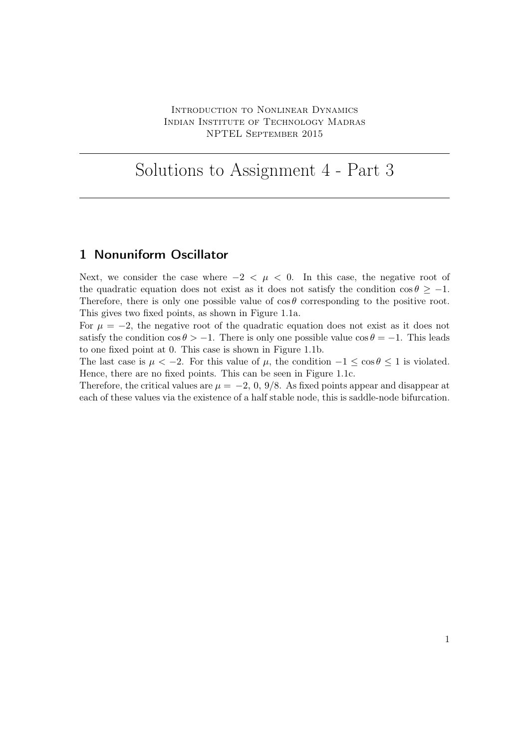## Solutions to Assignment 4 - Part 3

## 1 Nonuniform Oscillator

Next, we consider the case where  $-2 < \mu < 0$ . In this case, the negative root of the quadratic equation does not exist as it does not satisfy the condition  $\cos \theta \ge -1$ . Therefore, there is only one possible value of  $\cos \theta$  corresponding to the positive root. This gives two fixed points, as shown in Figure 1.1a.

For  $\mu = -2$ , the negative root of the quadratic equation does not exist as it does not satisfy the condition  $\cos \theta > -1$ . There is only one possible value  $\cos \theta = -1$ . This leads to one fixed point at 0. This case is shown in Figure 1.1b.

The last case is  $\mu < -2$ . For this value of  $\mu$ , the condition  $-1 \leq \cos \theta \leq 1$  is violated. Hence, there are no fixed points. This can be seen in Figure 1.1c.

Therefore, the critical values are  $\mu = -2$ , 0, 9/8. As fixed points appear and disappear at each of these values via the existence of a half stable node, this is saddle-node bifurcation.